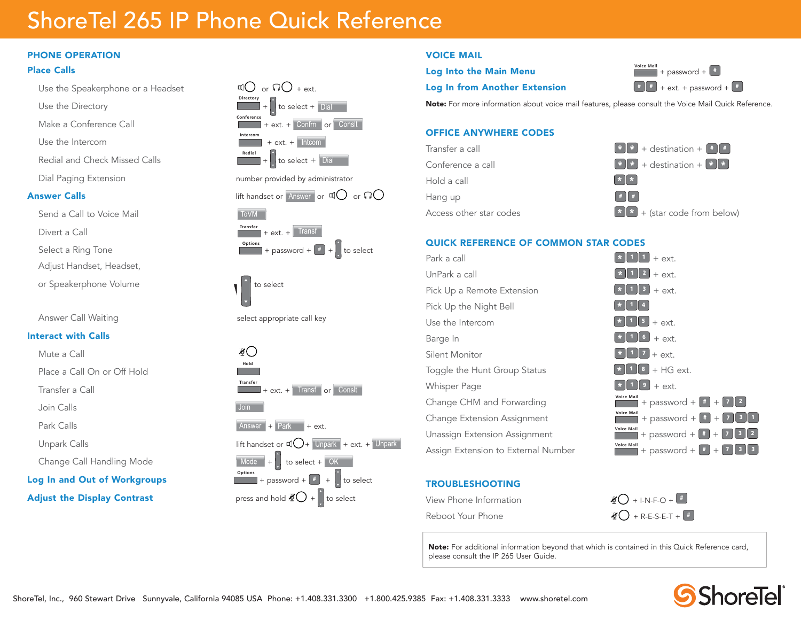# ShoreTel 265 IP Phone Quick Reference

### PHONE OPERATION

#### Place Calls

- Use the Speakerphone or a Headset  $\mathbb{C}$  or  $\mathbb{C}$  + ext.
- Use the Directory
- Make a Conference Call
- Use the Intercom
- Redial and Check Missed Calls
- 

- Send a Call to Voice Mail
- Divert a Call
- Select a Ring Tone
- Adjust Handset, Headset,
- or Speakerphone Volume to select the select
- 

### Interact with Calls

- Mute a Call
- Place a Call On or Off Hold
- Transfer a Call
- Join Calls
- 
- 
- 
- Log In and Out of Workgroups



### VOICE MAIL

## **Log Into the Main Menu Voice Main** + password +  $\frac{4}{\pi}$

**Log In from Another Extension**  $\begin{bmatrix} \# & \# \\ \end{bmatrix}$  + ext. + password +  $\begin{bmatrix} \# \\ \end{bmatrix}$ 

Note: For more information about voice mail features, please consult the Voice Mail Quick Reference.

#### OFFICE ANYWHERE CODES



#### QUICK REFERENCE OF COMMON STAR CODES

| Park a call                         | $+$ ext.                                                                                                                                |
|-------------------------------------|-----------------------------------------------------------------------------------------------------------------------------------------|
| UnPark a call                       | $\vert$ 2<br>$+$ ext.                                                                                                                   |
| Pick Up a Remote Extension          | 3<br>$+$ ext.                                                                                                                           |
| Pick Up the Night Bell              |                                                                                                                                         |
| Use the Intercom                    | $\begin{bmatrix} 5 \end{bmatrix}$ + ext.                                                                                                |
| Barge In                            | $\begin{bmatrix} 6 \\ + \end{bmatrix}$ + ext.                                                                                           |
| Silent Monitor                      | $\ 7\ $ + ext.                                                                                                                          |
| Toggle the Hunt Group Status        | $8 + HG$ ext.                                                                                                                           |
| <b>Whisper Page</b>                 | $+$ ext.                                                                                                                                |
| Change CHM and Forwarding           | <b>Voice Mail</b><br>+ password + $\lfloor$ # $\rfloor$ + $\lfloor$<br>$\begin{array}{c c c c c c c} \hline 7 & 2 & \hline \end{array}$ |
| Change Extension Assignment         | <b>Voice Mail</b><br>▌╛▌1<br>+ password + $\begin{bmatrix} # & + & 7 \end{bmatrix}$                                                     |
| Unassign Extension Assignment       | <b>Voice Mail</b><br>+ password + $* + 7$ 3 2                                                                                           |
| Assign Extension to External Number | <b>Voice Mail</b><br>$+ 7 3 3$<br>+ password + $\vert \cdot \vert$                                                                      |

### TROUBLESHOOTING

| View Phone Information | $\mathcal{L}$ + I-N-F-O +                                  |
|------------------------|------------------------------------------------------------|
| Reboot Your Phone      | $\mathcal{L}$ + R-E-S-E-T + $\left(\frac{\mu}{\mu}\right)$ |

Note: For additional information beyond that which is contained in this Quick Reference card, please consult the IP 265 User Guide.